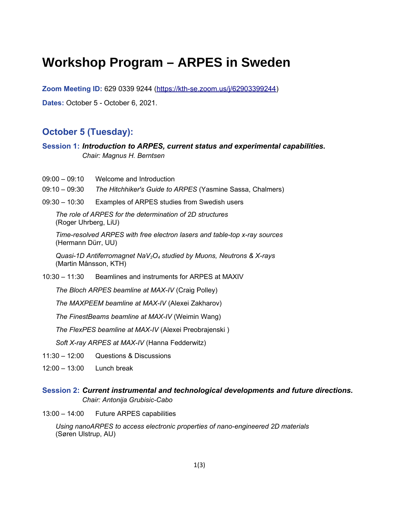# **Workshop Program – ARPES in Sweden**

**Zoom Meeting ID:** 629 0339 9244 [\(https://kth-se.zoom.us/j/62903399244\)](https://kth-se.zoom.us/j/62903399244) **Dates:** October 5 - October 6, 2021.

# **October 5 (Tuesday):**

**Session 1:** *Introduction to ARPES, current status and experimental capabilities. Chair: Magnus H. Berntsen*

- 09:00 09:10 Welcome and Introduction
- 09:10 09:30 *The Hitchhiker's Guide to ARPES* (Yasmine Sassa, Chalmers)
- 09:30 10:30 Examples of ARPES studies from Swedish users

*The role of ARPES for the determination of 2D structures*  (Roger Uhrberg, LiU)

*Time-resolved ARPES with free electron lasers and table-top x-ray sources* (Hermann Dürr, UU)

*Quasi-1D Antiferromagnet NaV2O4 studied by Muons, Neutrons & X-rays* (Martin Månsson, KTH)

10:30 – 11:30 Beamlines and instruments for ARPES at MAXIV

*The Bloch ARPES beamline at MAX-IV* (Craig Polley)

*The MAXPEEM beamline at MAX-IV* (Alexei Zakharov)

*The FinestBeams beamline at MAX-IV* (Weimin Wang)

*The FlexPES beamline at MAX-IV* (Alexei Preobrajenski )

*Soft X-ray ARPES at MAX-IV* (Hanna Fedderwitz)

- 11:30 12:00 Questions & Discussions
- 12:00 13:00 Lunch break

#### **Session 2:** *Current instrumental and technological developments and future directions. Chair: Antonija Grubisic-Cabo*

13:00 – 14:00 Future ARPES capabilities

*Using nanoARPES to access electronic properties of nano-engineered 2D materials* (Søren Ulstrup, AU)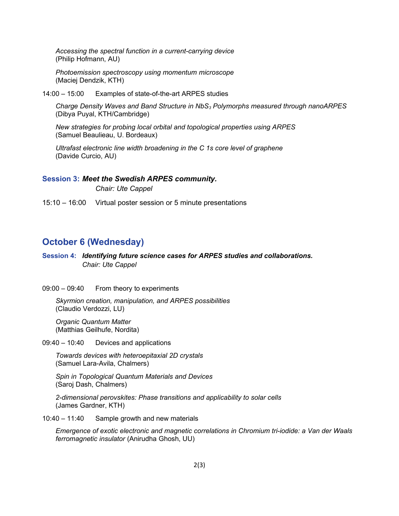*Accessing the spectral function in a current-carrying device* (Philip Hofmann, AU)

*Photoemission spectroscopy using momentum microscope*  (Maciej Dendzik, KTH)

14:00 – 15:00 Examples of state-of-the-art ARPES studies

*Charge Density Waves and Band Structure in NbS3 Polymorphs measured through nanoARPES*  (Dibya Puyal, KTH/Cambridge)

*New strategies for probing local orbital and topological properties using ARPES* (Samuel Beaulieau, U. Bordeaux)

*Ultrafast electronic line width broadening in the C 1s core level of graphene* (Davide Curcio, AU)

#### **Session 3:** *Meet the Swedish ARPES community.*

*Chair: Ute Cappel*

15:10 – 16:00 Virtual poster session or 5 minute presentations

### **October 6 (Wednesday)**

**Session 4:** *Identifying future science cases for ARPES studies and collaborations. Chair: Ute Cappel*

09:00 – 09:40 From theory to experiments

*Skyrmion creation, manipulation, and ARPES possibilities* (Claudio Verdozzi, LU)

*Organic Quantum Matter* (Matthias Geilhufe, Nordita)

09:40 – 10:40 Devices and applications

*Towards devices with heteroepitaxial 2D crystals* (Samuel Lara-Avila, Chalmers)

*Spin in Topological Quantum Materials and Devices* (Saroj Dash, Chalmers)

*2-dimensional perovskites: Phase transitions and applicability to solar cells* (James Gardner, KTH)

10:40 – 11:40 Sample growth and new materials

*Emergence of exotic electronic and magnetic correlations in Chromium tri-iodide: a Van der Waals ferromagnetic insulator* (Anirudha Ghosh, UU)